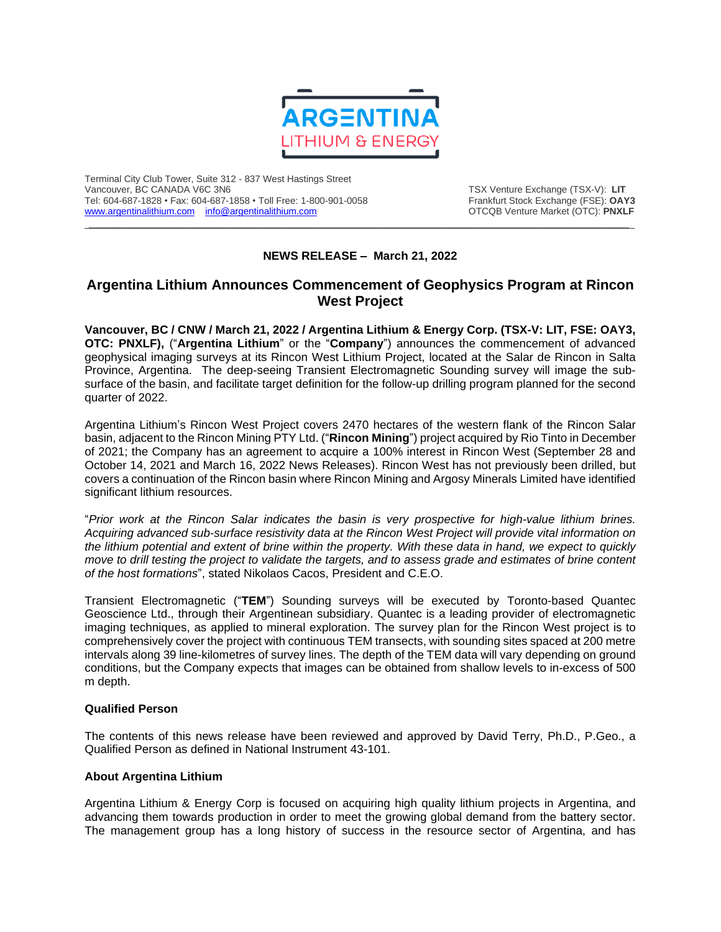

Terminal City Club Tower, Suite 312 - 837 West Hastings Street Tel: 604-687-1828 • Fax: 604-687-1858 • Toll Free: 1-800-901-0058 Frankfurt Stock Exchange (FSE): **OAY3**<br>https://www.argentinalithium.com info@argentinalithium.com into the source of the STCQB Venture Market (OTC): PNXLF [www.argentinalithium.com](http://www.argentinalithium.com/) [info@argentinalithium.com](mailto:info@argentinalithium.com)

TSX Venture Exchange (TSX-V): LIT<br>Frankfurt Stock Exchange (FSE): OAY3

## **NEWS RELEASE – March 21, 2022**

 $\_$  ,  $\_$  ,  $\_$  ,  $\_$  ,  $\_$  ,  $\_$  ,  $\_$  ,  $\_$  ,  $\_$  ,  $\_$  ,  $\_$  ,  $\_$  ,  $\_$  ,  $\_$  ,  $\_$  ,  $\_$  ,  $\_$  ,  $\_$  ,  $\_$  ,  $\_$  ,  $\_$  ,  $\_$  ,  $\_$  ,  $\_$  ,  $\_$  ,  $\_$  ,  $\_$  ,  $\_$  ,  $\_$  ,  $\_$  ,  $\_$  ,  $\_$  ,  $\_$  ,  $\_$  ,  $\_$  ,  $\_$  ,  $\_$  ,

## **Argentina Lithium Announces Commencement of Geophysics Program at Rincon West Project**

**Vancouver, BC / CNW / March 21, 2022 / Argentina Lithium & Energy Corp. (TSX-V: LIT, FSE: OAY3, OTC: PNXLF),** ("**Argentina Lithium**" or the "**Company**") announces the commencement of advanced geophysical imaging surveys at its Rincon West Lithium Project, located at the Salar de Rincon in Salta Province, Argentina. The deep-seeing Transient Electromagnetic Sounding survey will image the subsurface of the basin, and facilitate target definition for the follow-up drilling program planned for the second quarter of 2022.

Argentina Lithium's Rincon West Project covers 2470 hectares of the western flank of the Rincon Salar basin, adjacent to the Rincon Mining PTY Ltd. ("**Rincon Mining**") project acquired by Rio Tinto in December of 2021; the Company has an agreement to acquire a 100% interest in Rincon West (September 28 and October 14, 2021 and March 16, 2022 News Releases). Rincon West has not previously been drilled, but covers a continuation of the Rincon basin where Rincon Mining and Argosy Minerals Limited have identified significant lithium resources.

"*Prior work at the Rincon Salar indicates the basin is very prospective for high-value lithium brines. Acquiring advanced sub-surface resistivity data at the Rincon West Project will provide vital information on* the lithium potential and extent of brine within the property. With these data in hand, we expect to quickly move to drill testing the project to validate the targets, and to assess grade and estimates of brine content *of the host formations*", stated Nikolaos Cacos, President and C.E.O.

Transient Electromagnetic ("**TEM**") Sounding surveys will be executed by Toronto-based Quantec Geoscience Ltd., through their Argentinean subsidiary. Quantec is a leading provider of electromagnetic imaging techniques, as applied to mineral exploration. The survey plan for the Rincon West project is to comprehensively cover the project with continuous TEM transects, with sounding sites spaced at 200 metre intervals along 39 line-kilometres of survey lines. The depth of the TEM data will vary depending on ground conditions, but the Company expects that images can be obtained from shallow levels to in-excess of 500 m depth.

## **Qualified Person**

The contents of this news release have been reviewed and approved by David Terry, Ph.D., P.Geo., a Qualified Person as defined in National Instrument 43-101.

## **About Argentina Lithium**

Argentina Lithium & Energy Corp is focused on acquiring high quality lithium projects in Argentina, and advancing them towards production in order to meet the growing global demand from the battery sector. The management group has a long history of success in the resource sector of Argentina, and has